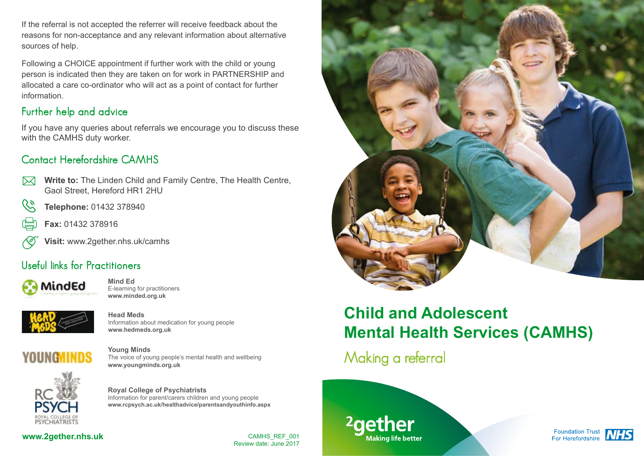If the referral is not accepted the referrer will receive feedback about the reasons for non-acceptance and any relevant information about alternative sources of help.

Following a CHOICE appointment if further work with the child or young person is indicated then they are taken on for work in PARTNERSHIP and allocated a care co-ordinator who will act as a point of contact for further information.

# Further help and advice

If you have any queries about referrals we encourage you to discuss these with the CAMHS duty worker.

# Contact Herefordshire CAMHS

- $\bowtie$
- **Write to:** The Linden Child and Family Centre, The Health Centre, Gaol Street, Hereford HR1 2HU
- 65 **Telephone:** 01432 378940
- **Fax:** 01432 378916
- **Visit:** www.2gether.nhs.uk/camhs

# Useful links for Practitioners



**Mind Ed**  E-learning for practitioners **www.minded.org.uk**



**Head Meds** Information about medication for young people **www.hedmeds.org.uk**



**RC** 

**Young Minds** The voice of young people's mental health and wellbeing **www.youngminds.org.uk**

**Royal College of Psychiatrists** Information for parent/carers children and young people **www.rcpsych.ac.uk/healthadvice/parentsandyouthinfo.aspx**



PSYCHIATRISTS

CAMHS\_REF\_001 Review date: June 2017



# **Child and Adolescent Mental Health Services (CAMHS)**

Making a referral